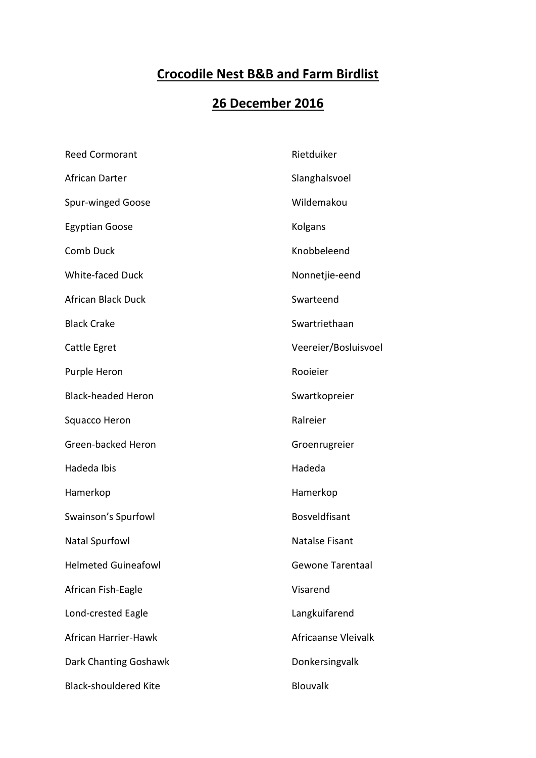## **Crocodile Nest B&B and Farm Birdlist**

## **26 December 2016**

| <b>Reed Cormorant</b>        | Rietduiker              |
|------------------------------|-------------------------|
| African Darter               | Slanghalsvoel           |
| <b>Spur-winged Goose</b>     | Wildemakou              |
| <b>Egyptian Goose</b>        | Kolgans                 |
| <b>Comb Duck</b>             | Knobbeleend             |
| <b>White-faced Duck</b>      | Nonnetjie-eend          |
| <b>African Black Duck</b>    | Swarteend               |
| <b>Black Crake</b>           | Swartriethaan           |
| Cattle Egret                 | Veereier/Bosluisvoel    |
| Purple Heron                 | Rooieier                |
| <b>Black-headed Heron</b>    | Swartkopreier           |
| Squacco Heron                | Ralreier                |
| Green-backed Heron           | Groenrugreier           |
| Hadeda Ibis                  | Hadeda                  |
| Hamerkop                     | Hamerkop                |
| Swainson's Spurfowl          | <b>Bosveldfisant</b>    |
| <b>Natal Spurfowl</b>        | <b>Natalse Fisant</b>   |
| <b>Helmeted Guineafowl</b>   | <b>Gewone Tarentaal</b> |
| African Fish-Eagle           | Visarend                |
| Lond-crested Eagle           | Langkuifarend           |
| African Harrier-Hawk         | Africaanse Vleivalk     |
| Dark Chanting Goshawk        | Donkersingvalk          |
| <b>Black-shouldered Kite</b> | Blouvalk                |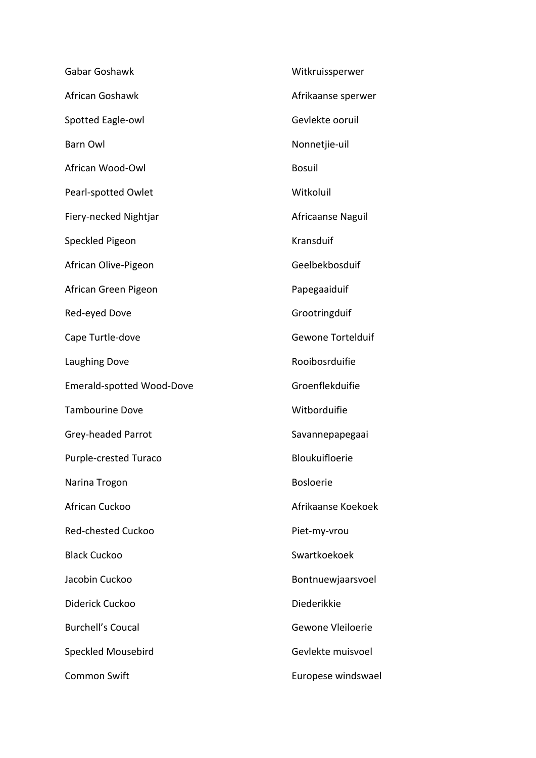| Gabar Goshawk                    | Witkruissperwer    |
|----------------------------------|--------------------|
| African Goshawk                  | Afrikaanse sperwer |
| Spotted Eagle-owl                | Gevlekte ooruil    |
| <b>Barn Owl</b>                  | Nonnetjie-uil      |
| African Wood-Owl                 | <b>Bosuil</b>      |
| Pearl-spotted Owlet              | Witkoluil          |
| Fiery-necked Nightjar            | Africaanse Naguil  |
| Speckled Pigeon                  | Kransduif          |
| African Olive-Pigeon             | Geelbekbosduif     |
| African Green Pigeon             | Papegaaiduif       |
| Red-eyed Dove                    | Grootringduif      |
| Cape Turtle-dove                 | Gewone Tortelduif  |
| Laughing Dove                    | Rooibosrduifie     |
| <b>Emerald-spotted Wood-Dove</b> | Groenflekduifie    |
| <b>Tambourine Dove</b>           | Witborduifie       |
| Grey-headed Parrot               | Savannepapegaai    |
| <b>Purple-crested Turaco</b>     | Bloukuifloerie     |
| Narina Trogon                    | <b>Bosloerie</b>   |
| African Cuckoo                   | Afrikaanse Koekoek |
| <b>Red-chested Cuckoo</b>        | Piet-my-vrou       |
| <b>Black Cuckoo</b>              | Swartkoekoek       |
| Jacobin Cuckoo                   | Bontnuewjaarsvoel  |
| Diderick Cuckoo                  | Diederikkie        |
| <b>Burchell's Coucal</b>         | Gewone Vleiloerie  |
| <b>Speckled Mousebird</b>        | Gevlekte muisvoel  |
| <b>Common Swift</b>              | Europese windswael |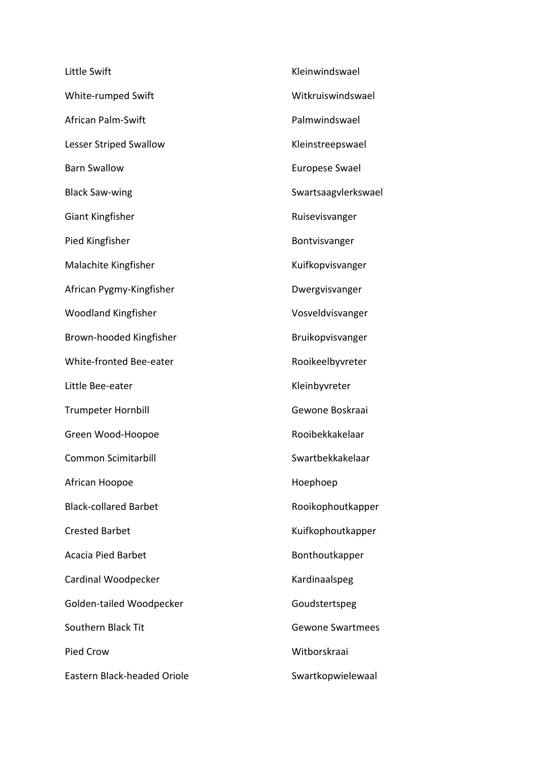| Little Swift                 | Kleinwindswael        |
|------------------------------|-----------------------|
| White-rumped Swift           | Witkruiswindswael     |
| <b>African Palm-Swift</b>    | Palmwindswael         |
| Lesser Striped Swallow       | Kleinstreepswael      |
| <b>Barn Swallow</b>          | <b>Europese Swael</b> |
| <b>Black Saw-wing</b>        | Swartsaagvlerkswael   |
| Giant Kingfisher             | Ruisevisvanger        |
| Pied Kingfisher              | Bontvisvanger         |
| Malachite Kingfisher         | Kuifkopvisvanger      |
| African Pygmy-Kingfisher     | Dwergvisvanger        |
| <b>Woodland Kingfisher</b>   | Vosveldvisvanger      |
| Brown-hooded Kingfisher      | Bruikopvisvanger      |
| White-fronted Bee-eater      | Rooikeelbyvreter      |
| Little Bee-eater             | Kleinbyvreter         |
| <b>Trumpeter Hornbill</b>    | Gewone Boskraai       |
| Green Wood-Hoopoe            | Rooibekkakelaar       |
| Common Scimitarbill          | Swartbekkakelaar      |
| African Hoopoe               | Hoephoep              |
| <b>Black-collared Barbet</b> | Rooikophoutkapper     |
| <b>Crested Barbet</b>        | Kuifkophoutkapper     |
| <b>Acacia Pied Barbet</b>    | Bonthoutkapper        |
| Cardinal Woodpecker          | Kardinaalspeg         |
| Golden-tailed Woodpecker     | Goudstertspeg         |
| Southern Black Tit           | Gewone Swartmees      |
| Pied Crow                    | Witborskraai          |
| Eastern Black-headed Oriole  | Swartkopwielewaal     |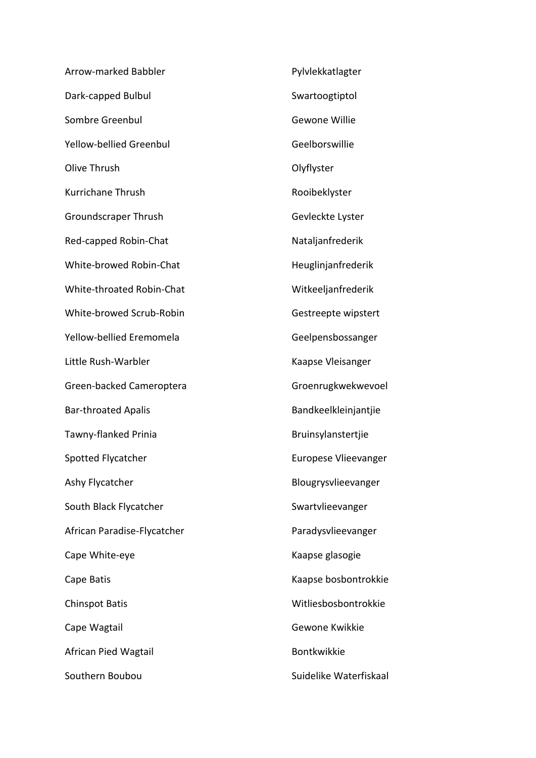| Arrow-marked Babbler        | Pylvlekkatlagter       |
|-----------------------------|------------------------|
| Dark-capped Bulbul          | Swartoogtiptol         |
| Sombre Greenbul             | Gewone Willie          |
| Yellow-bellied Greenbul     | Geelborswillie         |
| Olive Thrush                | Olyflyster             |
| Kurrichane Thrush           | Rooibeklyster          |
| Groundscraper Thrush        | Gevleckte Lyster       |
| Red-capped Robin-Chat       | Nataljanfrederik       |
| White-browed Robin-Chat     | Heuglinjanfrederik     |
| White-throated Robin-Chat   | Witkeeljanfrederik     |
| White-browed Scrub-Robin    | Gestreepte wipstert    |
| Yellow-bellied Eremomela    | Geelpensbossanger      |
| Little Rush-Warbler         | Kaapse Vleisanger      |
| Green-backed Cameroptera    | Groenrugkwekwevoel     |
| <b>Bar-throated Apalis</b>  | Bandkeelkleinjantjie   |
| Tawny-flanked Prinia        | Bruinsylanstertjie     |
| Spotted Flycatcher          | Europese Vlieevanger   |
| Ashy Flycatcher             | Blougrysvlieevanger    |
| South Black Flycatcher      | Swartvlieevanger       |
| African Paradise-Flycatcher | Paradysvlieevanger     |
| Cape White-eye              | Kaapse glasogie        |
| Cape Batis                  | Kaapse bosbontrokkie   |
| <b>Chinspot Batis</b>       | Witliesbosbontrokkie   |
| Cape Wagtail                | Gewone Kwikkie         |
| African Pied Wagtail        | Bontkwikkie            |
| Southern Boubou             | Suidelike Waterfiskaal |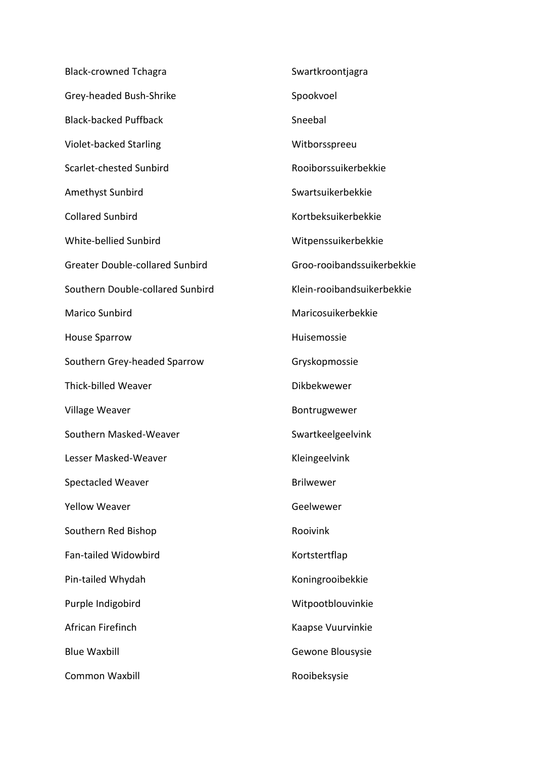| <b>Black-crowned Tchagra</b>           | Swartkroontjagra           |
|----------------------------------------|----------------------------|
| Grey-headed Bush-Shrike                | Spookvoel                  |
| <b>Black-backed Puffback</b>           | Sneebal                    |
| Violet-backed Starling                 | Witborsspreeu              |
| Scarlet-chested Sunbird                | Rooiborssuikerbekkie       |
| Amethyst Sunbird                       | Swartsuikerbekkie          |
| <b>Collared Sunbird</b>                | Kortbeksuikerbekkie        |
| White-bellied Sunbird                  | Witpenssuikerbekkie        |
| <b>Greater Double-collared Sunbird</b> | Groo-rooibandssuikerbekkie |
| Southern Double-collared Sunbird       | Klein-rooibandsuikerbekkie |
| Marico Sunbird                         | Maricosuikerbekkie         |
| <b>House Sparrow</b>                   | Huisemossie                |
| Southern Grey-headed Sparrow           | Gryskopmossie              |
| Thick-billed Weaver                    | Dikbekwewer                |
| Village Weaver                         | Bontrugwewer               |
| Southern Masked-Weaver                 | Swartkeelgeelvink          |
| Lesser Masked-Weaver                   | Kleingeelvink              |
| <b>Spectacled Weaver</b>               | <b>Brilwewer</b>           |
| <b>Yellow Weaver</b>                   | Geelwewer                  |
| Southern Red Bishop                    | Rooivink                   |
| <b>Fan-tailed Widowbird</b>            | Kortstertflap              |
| Pin-tailed Whydah                      | Koningrooibekkie           |
| Purple Indigobird                      | Witpootblouvinkie          |
| African Firefinch                      | Kaapse Vuurvinkie          |
| <b>Blue Waxbill</b>                    | Gewone Blousysie           |
| <b>Common Waxbill</b>                  | Rooibeksysie               |